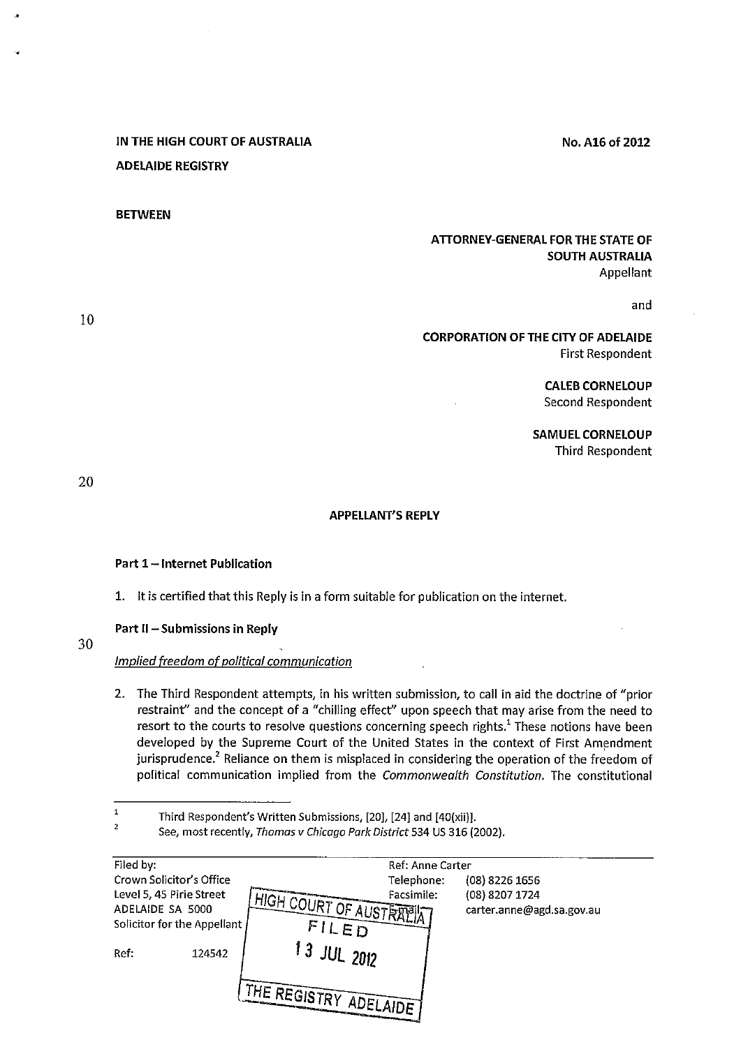# IN THE HIGH COURT OF AUSTRALIA ADELAIDE REGISTRY

### **BETWEEN**

## ATTORNEY-GENERAL FOR THE STATE OF SOUTH AUSTRALIA Appellant

and

## CORPORATION OF THE CITY OF ADELAIDE First Respondent

CALEB CORNELOUP Second Respondent

No. A16 of 2012

SAMUEL CORNELOUP Third Respondent

20

## APPELLANT'S REPLY

### Part 1-Internet Publication

1. It is certified that this Reply is in a form suitable for publication on the internet.

### Part II - Submissions in Reply

30

## Implied freedom of political communication

2.. The Third Respondent attempts, in his written submission, to call in aid the doctrine of "prior restraint" and the concept of a "chilling effect" upon speech that may arise from the need to resort to the courts to resolve questions concerning speech rights.<sup>1</sup> These notions have been developed by the Supreme Court of the United States in the context of First Amendment jurisprudence.<sup>2</sup> Reliance on them is misplaced in considering the operation of the freedom of political communication implied from the Commonwealth Constitution. The constitutional

 $\mathbf{1}$ Third Respondent's Written Submissions, [20], [24) and [40(xii]].

<sup>2</sup> See, most recently, Thomas v Chicago Park District 534 US 316 (2002).

| Filed by:                                                                                               |        |                                          | Ref: Anne Carter         |                                                                 |  |
|---------------------------------------------------------------------------------------------------------|--------|------------------------------------------|--------------------------|-----------------------------------------------------------------|--|
| Crown Solicitor's Office<br>Level 5, 45 Pirie Street<br>ADELAIDE SA 5000<br>Solicitor for the Appellant |        | <b>LHIGH COURT OF AUSTRALIA</b><br>FILED | Telephone:<br>Facsimile: | $(08)$ 8226 1656<br>(08) 8207 1724<br>carter.anne@agd.sa.gov.au |  |
| Ref:                                                                                                    | 124542 | $13$ JUL 2012                            |                          |                                                                 |  |
|                                                                                                         |        | I THE REGISTRY ADELAIDE                  |                          |                                                                 |  |

10

,.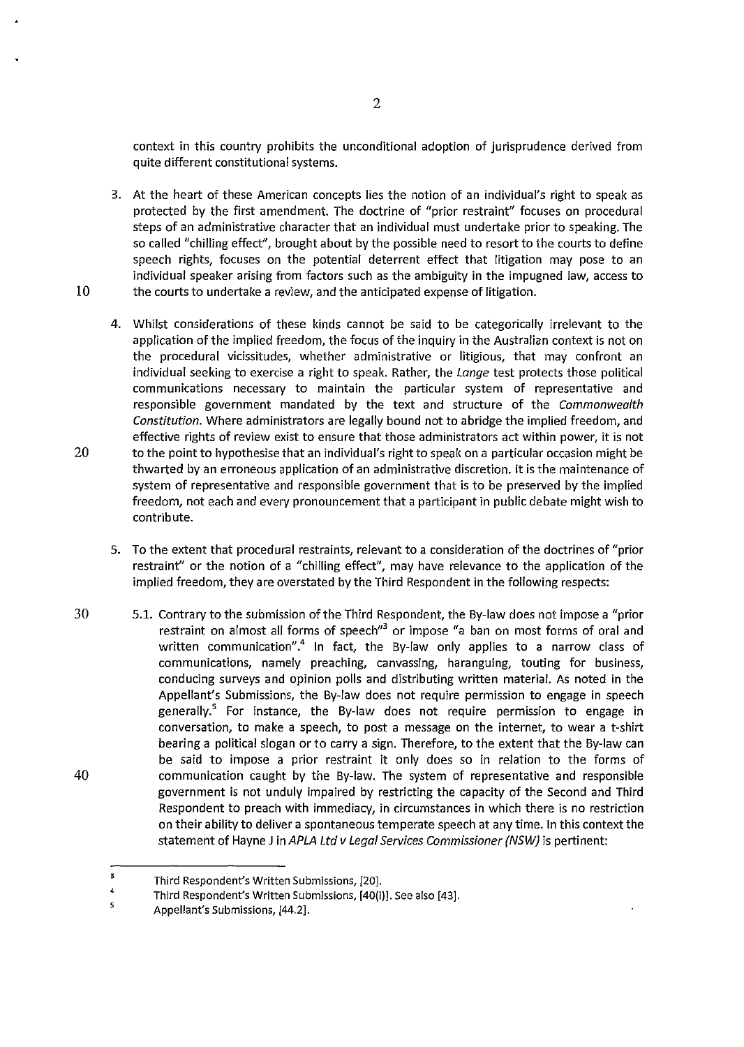context in this country prohibits the unconditional adoption of jurisprudence derived from quite different constitutional systems.

3. At the heart of these American concepts lies the notion of an individual's right to speak as protected by the first amendment. The doctrine of "prior restraint" focuses on procedural steps of an administrative character that an individual must undertake prior to speaking. The so called "chilling effect", brought about by the possible need to resort to the courts to define speech rights, focuses on the potential deterrent effect that litigation may pose to an individual speaker arising from factors such as the ambiguity in the impugned law, access to 10 the courts to undertake a review, and the anticipated expense of litigation.

- 4. Whilst considerations of these kinds cannot be said to be categorically irrelevant to the application of the implied freedom, the focus of the inquiry in the Australian context is not on the procedural vicissitudes, whether administrative or litigious, that may confront an individual seeking to exercise a right to speak. Rather, the Lange test protects those political communications necessary to maintain the particular system of representative and responsible government mandated by the text and structure of the Commonwealth Constitution. Where administrators are legally bound not to abridge the implied freedom, and effective rights of review exist to ensure that those administrators act within power, it is not 20 to the point to hypothesise that an individual's right to speak on a particular occasion might be thwarted by an erroneous application of an administrative discretion. It is the maintenance of system of representative and responsible government that is to be preserved by the implied freedom, not each and every pronouncement that a participant in public debate might wish to contribute.
	- 5. To the extent that procedural restraints, relevant to a consideration of the doctrines of "prior restraint" or the notion of a "chilling effect", may have relevance to the application of the implied freedom, they are overstated by the Third Respondent in the following respects:
- 30 40 5.1. Contrary to the submission of the Third Respondent, the By-law does not impose a "prior restraint on almost all forms of speech<sup>"3</sup> or impose "a ban on most forms of oral and written communication".<sup>4</sup> In fact, the By-law only applies to a narrow class of communications, namely preaching, canvassing, haranguing, touting for business, conducing surveys and opinion polls and distributing written material. As noted in the Appellant's Submissions, the By-law does not require permission to engage in speech generally.<sup>5</sup> For instance, the By-law does not require permission to engage in conversation, to make a speech, to post a message on the internet, to wear a t-shirt bearing a political slogan or to carry a sign. Therefore, to the extent that the By-law can be said to impose a prior restraint it only does so in relation to the forms of communication caught by the By-law. The system of representative and responsible government is not unduly impaired by restricting the capacity of the Second and Third Respondent to preach with immediacy, in circumstances in which there is no restriction on their ability to deliver a spontaneous temperate speech at any time. In this context the statement of Hayne J in APLA Ltd v Legal Services Commissioner (NSW) is pertinent:

<sup>3</sup>  Third Respondent's Written Submissions, [20].

<sup>4</sup>  Third Respondent's Written Submissions, (40(i)]. See also [43].

<sup>5</sup>  Appellant's Submissions, (44.2].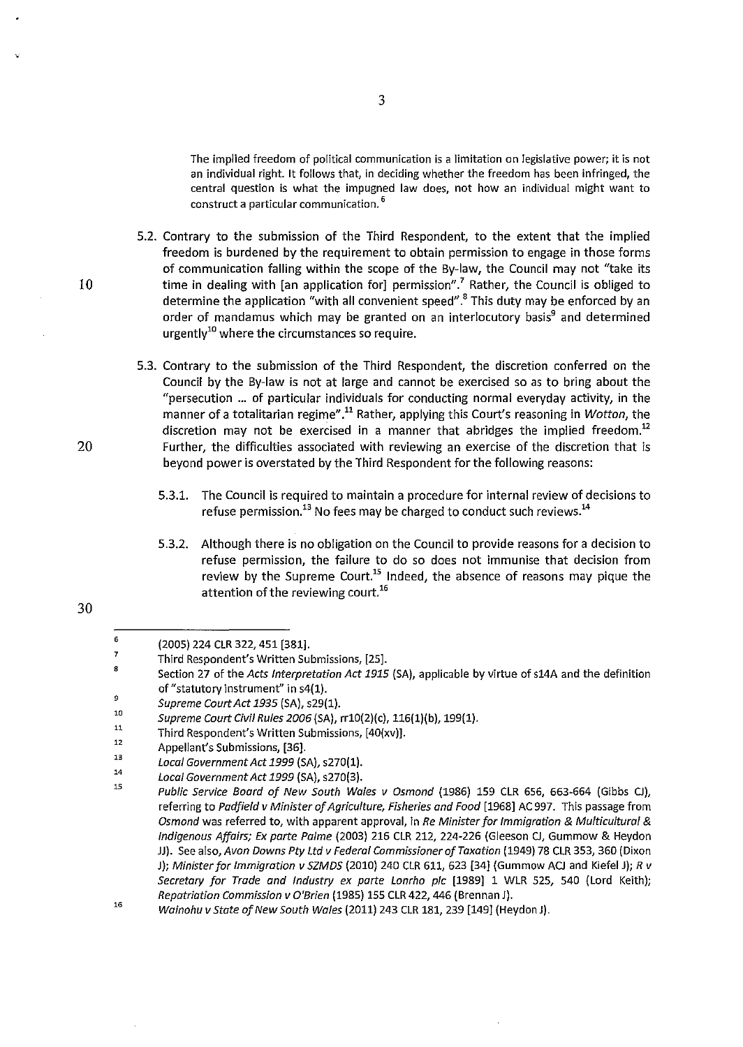**The implied freedom of political communication is a limitation on legislative power; it is not**  an individual right. It follows that, in deciding whether the freedom has been infringed, the central question is what the impugned law does, not how an individual might want to **construct a particular communication.** <sup>6</sup>

- 5.2. Contrary to the submission of the Third Respondent, to the extent that the implied freedom is burdened by the requirement to obtain permission to engage in those forms of communication falling within the scope of the By-law, the Council may not "take its 10 time in dealing with [an application for] permission".<sup>7</sup> Rather, the Council is obliged to determine the application "with all convenient speed".<sup>8</sup>This duty may be enforced by an order of mandamus which may be granted on an interlocutory basis<sup>9</sup> and determined urgently<sup>10</sup> where the circumstances so require.
- 5.3. Contrary to the submission of the Third Respondent, the discretion conferred on the Council by the By-law is not at large and cannot be exercised so as to bring about the "persecution ... of particular individuals for conducting normal everyday activity, in the manner of a totalitarian regime".<sup>11</sup> Rather, applying this Court's reasoning in Wotton, the discretion may not be exercised in a manner that abridges the implied freedom.<sup>12</sup> 20 Further, the difficulties associated with reviewing an exercise of the discretion that is beyond power is overstated by the Third Respondent for the following reasons:
	- 5.3.1. The Council is required to maintain a procedure for internal review of decisions to refuse permission.<sup>13</sup> No fees may be charged to conduct such reviews.<sup>14</sup>
	- 5.3.2. Although there is no obligation on the Council to provide reasons for a decision to refuse permission, the failure to do so does not immunise that decision from review by the Supreme Court.<sup>15</sup> Indeed, the absence of reasons may pique the attention of the reviewing court.<sup>16</sup>

<sup>6</sup> 

<sup>7</sup>  (2005) 224 CLR 322,451 [381].

Third Respondent's Written Submissions, [25].

a Section 27 of the Acts Interpretation Act 1915 (SA), applicable by virtue of s14A and the definition of" statutory instrument" in s4(1).

<sup>9</sup>  Supreme Court Act 1935 (SA), s29(1).

<sup>10</sup>  11 Supreme Court Civil Rules 2006 (SA), rr10(2)(c), 116(1)(b), 199(1).

<sup>12</sup>  Third Respondent's Written Submissions, [40(xv)].

<sup>13</sup>  Appellant's Submissions, [36].

<sup>14</sup>  Local Government Act 1999 (SA), s270(1).

Local Government Act 1999 (SA), s270(3).

lS Public Service Boord of New South Wales v Osmond (1986) 159 CLR 656, 663-664 (Gibbs CJ), referring to Padfield v Minister of Agriculture, Fisheries and Food [1968] AC 997. This passage from Osmond was referred to, with apparent approval, in Re Minister for Immigration & Multicultural & Indigenous Affairs; Ex parte Palme (2003) 216 CLR 212, 224-226 (Gleeson CJ, Gummow & Heydon JJ). See also, Avon Downs Pty Ltd v Federal Commissioner of Taxation (1949) 78 CLR 353, 360 (Dixon J); Minister for Immigration v SZMDS (2010) 240 CLR 611, 623 [34] (Gummow ACJ and Kiefel J); R v Secretary for Trade and Industry ex parte Lonrho plc [1989] 1 WLR 525, 540 (Lord Keith); Repatriation Commission v O'Brien (1985) 155 CLR 422, 446 (Brennan J).

<sup>16</sup>  Wainohu v State of New South Wales (2011) 243 CLR 181, 239 [149] (Heydon J).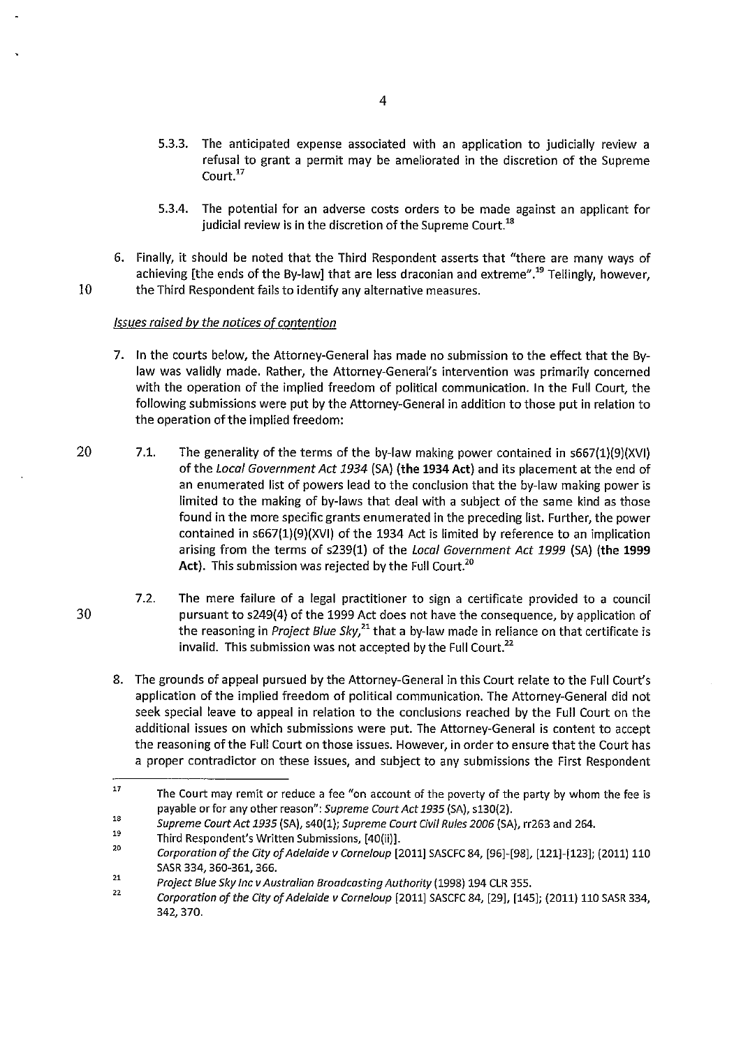- 5.3.3. The anticipated expense associated with an application to judicially review a refusal to grant a permit may be ameliorated in the discretion of the Supreme Court<sup>17</sup>
- 5.3.4. The potential for an adverse costs orders to be made against an applicant for judicial review is in the discretion of the Supreme Court.<sup>18</sup>
- 6. Finally, it should be noted that the Third Respondent asserts that "there are many ways of achieving [the ends of the By-law] that are less draconian and extreme".<sup>19</sup> Tellingly, however, 10 the Third Respondent fails to identify any alternative measures.

### Issues raised *by* the notices of contention

- 7. In the courts below, the Attorney-General has made no submission to the effect that the Bylaw was validly made. Rather, the Attorney-General's intervention was primarily concerned with the operation of the implied freedom of political communication. In the Full Court, the following submissions were put by the Attorney-General in addition to those put in relation to the operation of the implied freedom:
- 20 7.1. The generality of the terms of the by-law making power contained in s667(1)(9)(XVI) of the Local Government Act 1934 (SA) (the 1934 Act) and its placement at the end of an enumerated list of powers lead to the conclusion that the by-Jaw making power is limited to the making of by-laws that deal with a subject of the same kind as those found in the more specific grants enumerated in the preceding list. Further, the power contained in s667(1)(9)(XVI) of the 1934 Act is limited by reference to an implication arising from the terms of s239(1) of the Local Government Act 1999 (SA) (the 1999 Act). This submission was rejected by the Full Court.<sup>20</sup>
	- 7.2. The mere failure of a legal practitioner to sign a certificate provided to a council pursuant to s249{4) of the 1999 Act does not have the consequence, by application of the reasoning in Project Blue *Sky,<sup>21</sup>*that a by-law made in reliance on that certificate is invalid. This submission was not accepted by the Full Court. $^{22}$
	- 8. The grounds of appeal pursued by the Attorney-General in this Court relate to the Full Court's application of the implied freedom of political communication. The Attorney-General did not seek special leave to appeal in relation to the conclusions reached by the Full Court on the additional issues on which submissions were put. The Attorney-General is content to accept the reasoning of the Full Court on those issues. However, in order to ensure that the Court has a proper contradictor on these issues, and subject to any submissions the First Respondent

<sup>17</sup>  The Court may remit or reduce a fee "on account of the poverty of the party by whom the fee is payable or for any other reason": *Supreme Court Act 1935* (SA), s130(2).

<sup>18</sup>  *Supreme Court Act 1935* (SA), s40(1); *Supreme Court Civil Rules 2006* (SA), rr263 and 264.

<sup>19</sup>  Third Respondent's Written Submissions, [40(ii)].

<sup>20</sup>  *Corporation of the City of Adelaide v Corneloup* [2011] SASCFC 84, [96]-[98], [121]-[123]; (2011) 110 SASR 334, 360-361, 366.

*<sup>21</sup>  Project Blue Sky Inc v Australian Broadcasting Authority* (1998) 194 CLR 355.

<sup>22</sup>  *Corporation of the City of Adelaide v Corneloup* [2011] SASCFC 84, [29], [145]; (2011) 110 SASR 334, 342, 370.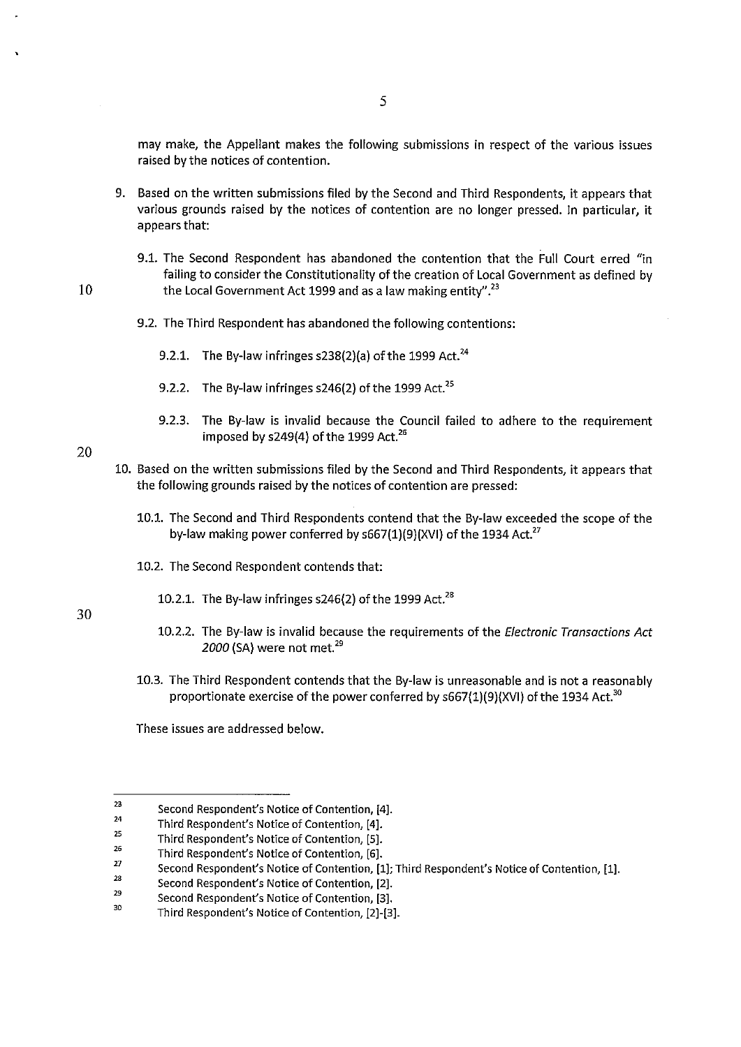may make, the Appellant makes the following submissions in respect of the various issues raised by the notices of contention.

- 9. Based on the written submissions filed by the Second and Third Respondents, it appears that various grounds raised by the notices of contention are no longer pressed. In particular, it appears that:
- 9.1. The Second Respondent has abandoned the contention that the Full Court erred "in failing to consider the Constitutionality of the creation of Local Government as defined by  $10$  the Local Government Act 1999 and as a law making entity".  $^{23}$ 
	- 9.2. The Third Respondent has abandoned the following contentions:
		- 9.2.1. The By-law infringes s238(2)(a) of the 1999 Act.<sup>24</sup>
		- 9.2.2. The By-law infringes  $s246(2)$  of the 1999 Act.<sup>25</sup>
		- 9.2.3. The By-law is invalid because the Council failed to adhere to the requirement imposed by  $s249(4)$  of the 1999 Act.<sup>26</sup>
	- 10. Based on the written submissions filed by the Second and Third Respondents, it appears that the following grounds raised by the notices of contention are pressed:
		- 10.1. The Second and Third Respondents contend that the By-law exceeded the scope of the by-law making power conferred by  $s667(1)(9)(XV)$  of the 1934 Act.<sup>27</sup>
		- 10.2. The Second Respondent contends that:
			- 10.2.1. The By-law infringes  $s246(2)$  of the 1999 Act.<sup>28</sup>

30

20

- 10.2.2. The By-law is invalid because the requirements of the *Electronic Transactions Act 2000* (SA) were not met. <sup>29</sup>
- 10.3. The Third Respondent contends that the By-law is unreasonable and is not a reasonably proportionate exercise of the power conferred by  $s667(1)(9)(XV)$  of the 1934 Act.<sup>30</sup>

These issues are addressed below.

<sup>23</sup>  24 Second Respondent's Notice of Contention, [4].

Third Respondent's Notice of Contention, [4].

*<sup>25</sup>*  Third Respondent's Notice of Contention, [5].

<sup>26</sup>  Third Respondent's Notice of Contention, [6].

<sup>27</sup>  Second Respondent's Notice of Contention, [1]; Third Respondent's Notice of Contention, [1].

<sup>23</sup>  Second Respondent's Notice of Contention, [2].

<sup>29</sup>  Second Respondent's Notice of Contention, [3].

<sup>30</sup>  Third Respondent's Notice of Contention, [2]-[3].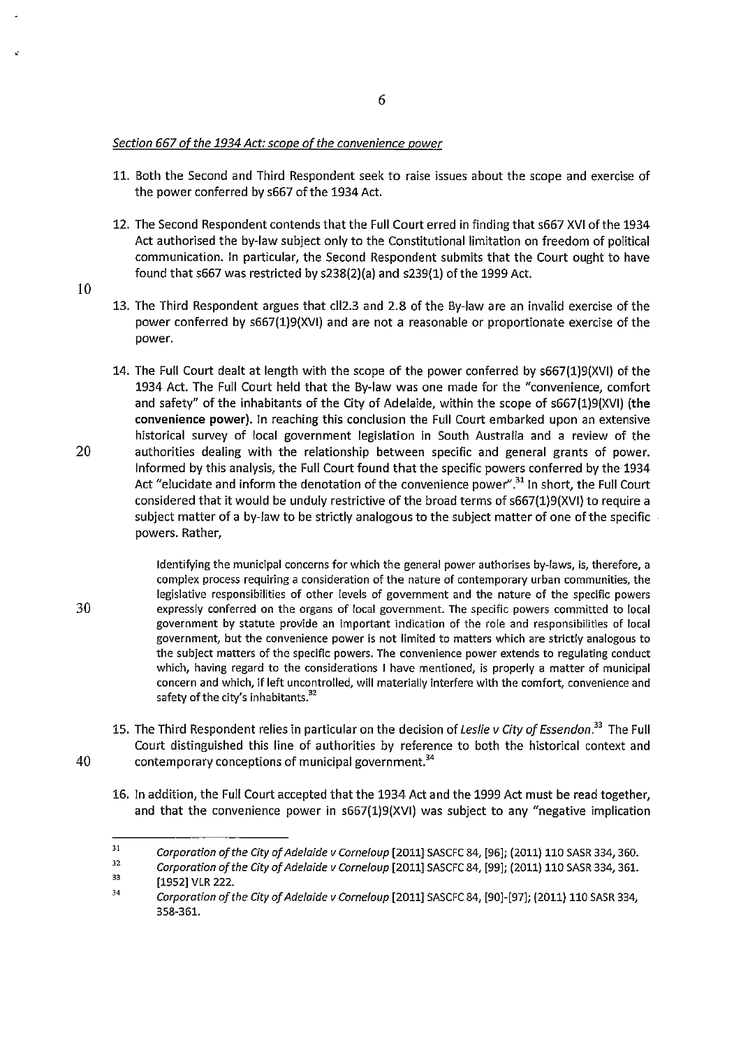## Section 667 of the 1934 Act: scope of the convenience power

- 11. Both the Second and Third Respondent seek to raise issues about the scope and exercise of the power conferred by s667 of the 1934 Act.
- 12. The Second Respondent contends that the Full Court erred in finding that s667 XVI of the 1934 Act authorised the by-law subject only to the Constitutional limitation on freedom of political communication. In particular, the Second Respondent submits that the Court ought to have found that s667 was restricted by s238(2)(a) and s239(1) of the 1999 Act.
- 13. The Third Respondent argues that cll2.3 and 2.8 of the By-law are an invalid exercise of the power conferred by s667(1)9(XVI) and are not a reasonable or proportionate exercise of the power.
- 14. The Full Court dealt at length with the scope of the power conferred by s667(1)9(XVI) of the 1934 Act. The Full Court held that the By-law was one made for the "convenience, comfort and safety" of the inhabitants of the City of Adelaide, within the scope of s667(1)9(XVI) **(the convenience power).** In reaching this conclusion the Full Court embarked upon an extensive historical survey of local government legislation in South Australia and a review of the 20 authorities dealing with the relationship between specific and general grants of power. Informed by this analysis, the Full Court found that the specific powers conferred by the 1934 Act "elucidate and inform the denotation of the convenience power".<sup>31</sup> In short, the Full Court considered that it would be unduly restrictive of the broad terms of s667(1)9(XVI) to require a subject matter of a by-law to be strictly analogous to the subject matter of one of the specific . powers. Rather,
- Identifying the municipal concerns for which the general power authorises by-laws, is, therefore, a **complex process requiring a consideration of the nature of contemporary urban communities, the**  legislative responsibilities of other levels of government and the nature of the specific powers 30 expressly conferred on the organs of local government. The specific powers committed to local government by statute provide an important indication of the role and responsibilities of local **government, but the convenience power is not limited to matters which are strictly analogous to**  the subject matters of the specific powers. The convenience power extends to regulating conduct which, having regard to the considerations I have mentioned, is properly a matter of municipal concern and which, if left uncontrolled, will materially interfere with the comfort, convenience and safety of the city's inhabitants.<sup>32</sup>
- 15. The Third Respondent relies in particular on the decision of Leslie v City of Essendon.*<sup>33</sup>*The Full Court distinguished this line of authorities by reference to both the historical context and 40 contemporary conceptions of municipal government.<sup>34</sup>
	- 16. In addition, the Full Court accepted that the 1934 Act and the 1999 Act must be read together, and that the convenience power in s667(1)9(XVI) was subject to any "negative implication

10

 $^{\prime}$ 

<sup>31</sup>  *Corporation of the City of Adelaide v Corneloup* [2011] SASCFC 84, [96]; (2011) 110 SASR 334,360.

<sup>32</sup>  33 *Corporation of the City of Adelaide v Corneloup* [2011] SASCFC 84, [99]; (2011) 110 SASR 334, 361.

<sup>[1952]</sup> VLR 222.

<sup>34</sup>  *Corporation of the City of Adelaide v Corneloup* [2011] SASCFC 84, [90]-[97]; (2011) 110 SASR 334, 358-361.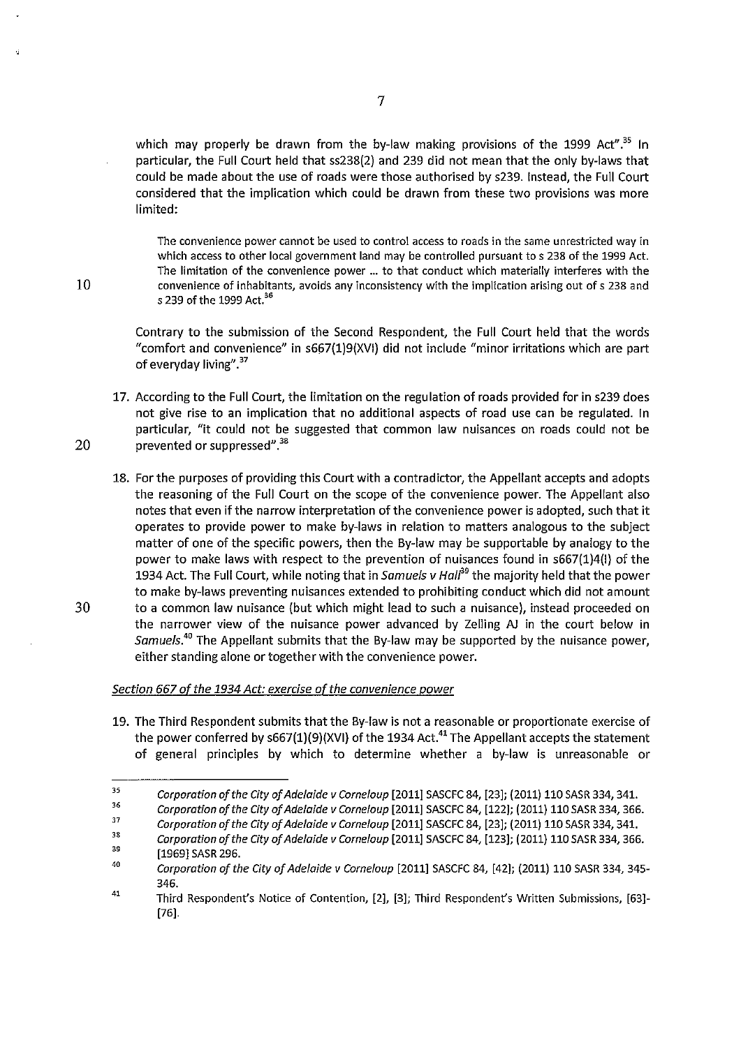which may properly be drawn from the by-law making provisions of the 1999 Act".<sup>35</sup> In particular, the Full Court held that ss238(2) and 239 did not mean that the only by-laws that could be made about the use of roads were those authorised by s239. Instead, the Full Court considered that the implication which could be drawn from these two provisions was more limited:

**The convenience power cannot be used to control access to roads in the same unrestricted way in**  which access to other local government land may be controlled pursuant to s 238 of the 1999 Act. The limitation of the convenience power ... to that conduct which materially interferes with the **convenience of inhabitants, avoids any inconsistency with the implication arising out of s 238 and**  s 239 of the 1999 Act.<sup>36</sup>

Contrary to the submission of the Second Respondent, the Full Court held that the words "comfort and convenience" in s667(1)9(XVI) did not include "minor irritations which are part of everyday living".<sup>37</sup>

- 17. According to the Full Court, the limitation on the regulation of roads provided for in s239 does not give rise to an implication that no additional aspects of road use can be regulated. In particular, "it could not be suggested that common law nuisances on roads could not be 20 prevented or suppressed".<sup>38</sup>
- 18. For the purposes of providing this Court with a contradictor, the Appellant accepts and adopts the reasoning of the Full Court on the scope of the convenience power. The Appellant also notes that even if the narrow interpretation of the convenience power is adopted, such that it operates to provide power to make by-laws in relation to matters analogous to the subject matter of one of the specific powers, then the By-law may be supportable by analogy to the power to make laws with respect to the prevention of nuisances found in s667(1)4(1) of the 1934 Act. The Full Court, while noting that in Samuels v Hall<sup>39</sup> the majority held that the power to make by-laws preventing nuisances extended to prohibiting conduct which did not amount 30 to a common law nuisance (but which might lead to such a nuisance), instead proceeded on the narrower view of the nuisance power advanced by Zelling AJ in the court below in Samuels.*<sup>40</sup>*The Appellant submits that the By-law may be supported by the nuisance power,

### Section 667 of the 1934 Act: exercise of the convenience power

either standing alone or together with the convenience power.

19. The Third Respondent submits that the By-law is not a reasonable or proportionate exercise of the power conferred by  $s667(1)(9)(XV)$  of the 1934 Act.<sup>41</sup> The Appellant accepts the statement of general principles by which to determine whether a by-law is unreasonable or

<sup>35</sup>  *Corporation of the City of Adelaide v Corneloup* [2011] SASCFC 84, [23]; (2011) 110 SASR 334, 341.

<sup>36</sup>  *Corporation of the City of Adelaide v Corneloup* [2011] SASCFC 84, [122]; (2011) 110 SASR 334, 366.

<sup>37</sup>  *Corporation of the City of Adelaide v Corneloup* [2011] SASCFC 84, [23]; (2011) 110 SASR 334, 341.

<sup>38</sup>  *Corporation of the City of Adelaide v Corneloup* [2011] SASCFC 84, [123]; (2011) 110 SASR 334, 366.

<sup>39</sup>  [1969] SASR 296.

<sup>40</sup>  *Corporation of the City of Adelaide v Corneloup* [2011] SASCFC 84, [42]; (2011) 110 SASR 334, 345- 346.

<sup>41</sup>  Third Respondent's Notice of Contention, [2], [3]; Third Respondent's Written Submissions, [63]- [76].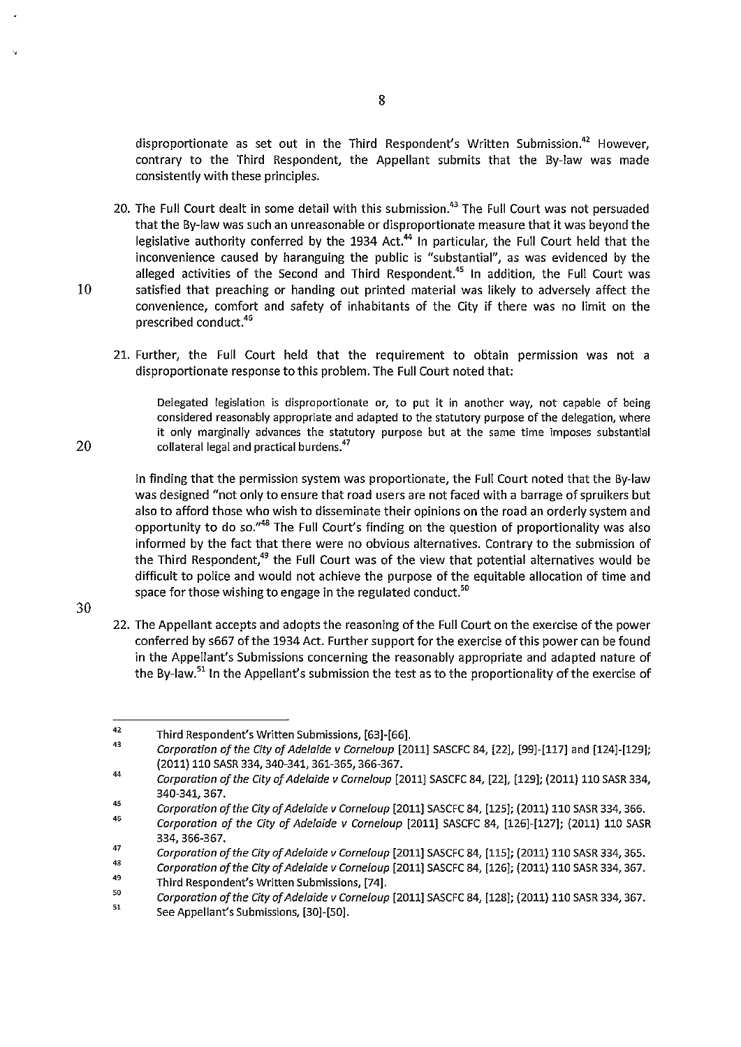disproportionate as set out in the Third Respondent's Written Submission.<sup>42</sup> However, contrary to the Third Respondent, the Appellant submits that the By-law was made consistently with these principles.

20. The Full Court dealt in some detail with this submission.<sup>43</sup> The Full Court was not persuaded that the By-law was such an unreasonable or disproportionate measure that it was beyond the legislative authority conferred by the 1934 Act.<sup>44</sup> In particular, the Full Court held that the inconvenience caused by haranguing the public is "substantial", as was evidenced by the alleged activities of the Second and Third Respondent.<sup>45</sup> In addition, the Full Court was 10 satisfied that preaching or handing out printed material was likely to adversely affect the convenience, comfort and safety of inhabitants of the City if there was no limit on the prescribed conduct.<sup>46</sup>

21. Further, the Full Court held that the requirement to obtain permission was not a disproportionate response to this problem. The Full Court noted that:

Delegated legislation is disproportionate or, to put it in another way, not capable of being considered reasonably appropriate and adapted to the statutory purpose of the delegation, where it only marginally advances the statutory purpose but at the same time imposes substantial collateral legal and practical burdens.<sup>47</sup>

In finding that the permission system was proportionate, the Full Court noted that the By-law was designed "not only to ensure that road users are not faced with a barrage of spruikers but also to afford those who wish to disseminate their opinions on the road an orderly system and opportunity to do so."48 The Full Court's finding on the question of proportionality was also informed by the fact that there were no obvious alternatives. Contrary to the submission of the Third Respondent, $49$  the Full Court was of the view that potential alternatives would be difficult to police and would not achieve the purpose of the equitable allocation of time and space for those wishing to engage in the regulated conduct.<sup>50</sup>

30

20

22. The Appellant accepts and adopts the reasoning of the Full Court on the exercise of the power conferred by s667 of the 1934 Act. Further support for the exercise of this power can be found in the Appellant's Submissions concerning the reasonably appropriate and adapted nature of the By-law.<sup>51</sup> In the Appellant's submission the test as to the proportionality of the exercise of

<sup>42</sup>  Third Respondent's Written Submissions, [63)-[66).

<sup>43</sup>  *Corporation of the City of Adelaide v Corneloup* [2011) SASCFC 84, [22), [99)-[117) and [124)-[129); (2011) 110 SASR 334,340-341, 361-365, 366-367.

<sup>44</sup>  *Corporation of the City of Adelaide v Corneloup* [2011) SASCFC 84, [22], [129); (2011) 110 SASR 334, 340-341, 367.

<sup>45</sup>  *Corporation of the City of Adelaide v Corneloup* [2011) SASCFC 84, [125); (2011) 110 SASR 334, 366.

<sup>46</sup>  *Corporation of the City of Adelaide v Corneloup* [2011) SASCFC 84, [126)-[127); (2011) 110 SASR 334, 366-367.

<sup>47</sup>  48 *Corporation of the City of Adelaide v Cornela up* [2011) SASCFC 84, [115); (2011) 110 SASR 334, 365.

<sup>49</sup>  *Corporation of the City of Adelaide v Corneloup* [2011) SASCFC 84, [126); (2011) 110 SASR 334, 367. Third Respondent's Written Submissions, [74].

<sup>50</sup> 

<sup>51</sup>  *Corporation of the City of Adelaide v Corneloup* [2011) SASCFC 84, [128); (2011) 110 SASR 334, 367.

See Appellant's Submissions, [30)-[50].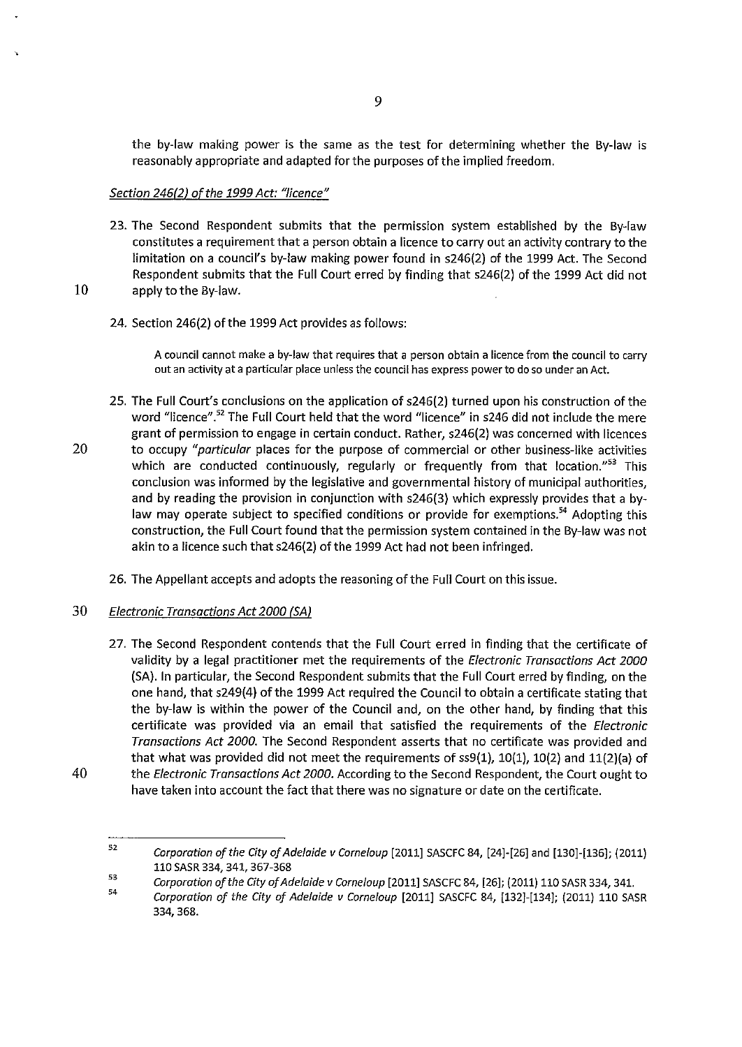the by-law making power is the same as the test for determining whether the By-law is reasonably appropriate and adapted for the purposes of the implied freedom.

# *Section 246(2) oft he 1999 Act: "licence"*

23. The Second Respondent submits that the permission system established by the By-law constitutes a requirement that a person obtain a licence to carry out an activity contrary to the limitation on a council's by-law making power found in s246(2) of the 1999 Act. The Second Respondent submits that the Full Court erred by finding that s246(2) of the 1999 Act did not 10 apply to the By-law.

## 24. Section 246(2) of the 1999 Act provides as follows:

A council cannot make a by-law that requires that a person obtain a licence from the council to carry **out an activity at a particular place unless the council has express power to do so under an Act.** 

- 25. The Full Court's conclusions on the application of s246(2) turned upon his construction of the word "licence".<sup>52</sup> The Full Court held that the word "licence" in s246 did not include the mere grant of permission to engage in certain conduct. Rather, s246(2) was concerned with licences 20 to occupy *"particular* places for the purpose of commercial or other business-like activities which are conducted continuously, regularly or frequently from that location."<sup>53</sup> This conclusion was informed by the legislative and governmental history of municipal authorities, and by reading the provision in conjunction with s246(3) which expressly provides that a bylaw may operate subject to specified conditions or provide for exemptions.<sup>54</sup> Adopting this construction, the Full Court found that the permission system contained in the By-law was not akin to a licence such that s246(2) of the 1999 Act had not been infringed.
	- 26. The Appellant accepts and adopts the reasoning of the Full Court on this issue.
- 30 *Electronic Transactions Act 2000 (SA)*
- 27. The Second Respondent contends that the Full Court erred in finding that the certificate of validity by a legal practitioner met the requirements of the *Electronic Transactions Act 2000*  (SA). In particular, the Second Respondent submits that the Full Court erred by finding, on the one hand, that s249(4) of the 1999 Act required the Council to obtain a certificate stating that the by-law is within the power of the Council and, on the other hand, by finding that this certificate was provided via an email that satisfied the requirements of the *Electronic Transactions Act 2000.* The Second Respondent asserts that no certificate was provided and that what was provided did not meet the requirements of  $ss9(1)$ ,  $10(1)$ ,  $10(2)$  and  $11(2)(a)$  of 40 the *Electronic Transactions Act 2000.* According to the Second Respondent, the Court ought to have taken into account the fact that there was no signature or date on the certificate.

<sup>52</sup>  53 *Corporation of the City of Adelaide v Corneloup* [2011] SASCFC 84, [24]-[26] and [130]-[136]; (2011) 110 SASR 334, 341, 367-368

*Corporation of the City of Adelaide v Corneloup* [2011] SASCFC 84, [26]; (2011) 110 SASR 334, 341.

<sup>54</sup>  *Corporation of the City of Adelaide v Corne/oup* [2011] SASCFC 84, [132]-[134]; (2011) 110 SASR 334,368.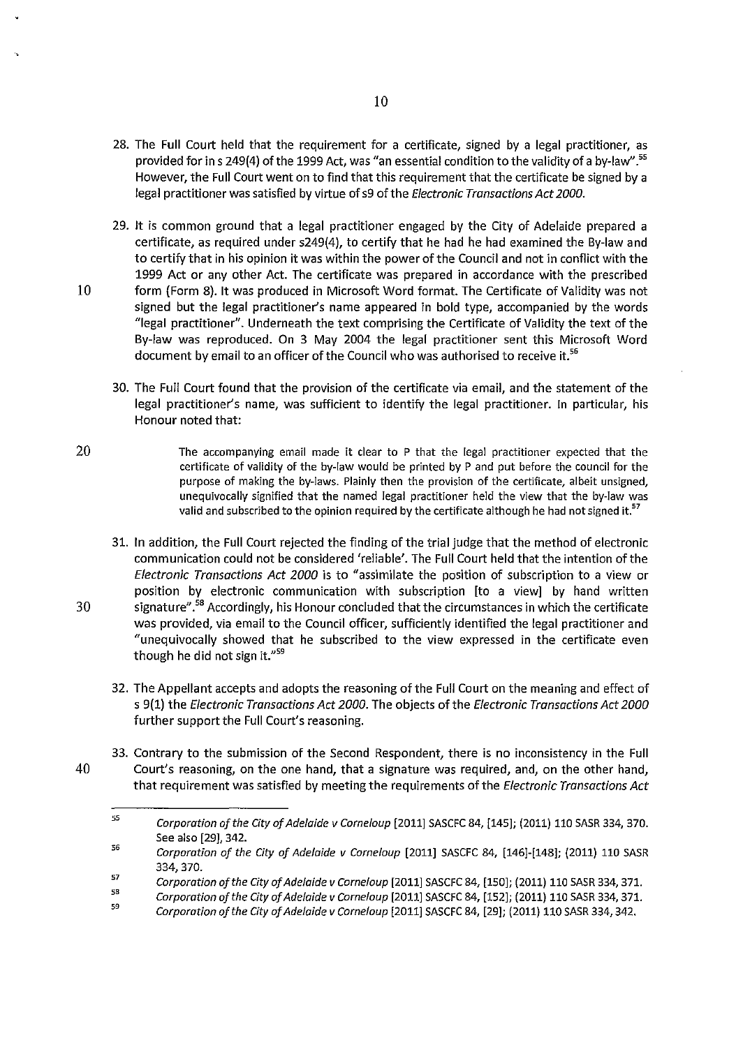- 28. The **Full** Court held that the requirement for a certificate, signed by a legal practitioner, as provided for in s 249(4) of the 1999 Act, was "an essential condition to the validity of a by-law".<sup>55</sup> However, the Full Court went on to find that this requirement that the certificate be signed by a legal practitioner was satisfied by virtue of s9 of the Electronic Transactions Act 2000.
- 29. It is common ground that a legal practitioner engaged by the City of Adelaide prepared a certificate, as required under s249(4), to certify that he had he had examined the By-law and to certify that in his opinion it was within the power of the Council and not in conflict with the 1999 Act or any other Act. The certificate was prepared in accordance with the prescribed 10 form (Form 8). It was produced in Microsoft Word format. The Certificate of Validity was not signed but the legal practitioner's name appeared in bold type, accompanied by the words "legal practitioner". Underneath the text comprising the Certificate of Validity the text of the By-law was reproduced. On 3 May 2004 the legal practitioner sent this Microsoft Word document by email to an officer of the Council who was authorised to receive it.<sup>56</sup>
	- 30. The Full Court found that the provision of the certificate via email, and the statement of the legal practitioner's name, was sufficient to identify the legal practitioner. In particular, his Honour noted that:
- 20 The accompanying email made it clear to P that the legal practitioner expected that the certificate of validity of the by-law would be printed by P and put before the council for the purpose of making the by-laws. Plainly then the provision of the certificate, albeit unsigned, unequivocally signified that the named legal practitioner held the view that the by-law was valid and subscribed to the opinion required by the certificate although he had not signed it.<sup>57</sup>
- 31. In addition, the Full Court rejected the finding of the trial judge that the method of electronic communication could not be considered 'reliable'. The Full Court held that the intention of the Electronic Transactions Act 2000 is to "assimilate the position of subscription to a view or position by electronic communication with subscription [to a view] by hand written 30 signature".<sup>58</sup> Accordingly, his Honour concluded that the circumstances in which the certificate was provided, via email to the Council officer, sufficiently identified the legal practitioner and "unequivocally showed that he subscribed to the view expressed in the certificate even though he did not sign it."<sup>59</sup>
	- 32. The Appellant accepts and adopts the reasoning ofthe Full Court on the meaning and effect of s 9(1) the Electronic Transactions Act 2000. The objects of the Electronic Transactions Act 2000 further support the Full Court's reasoning.
- 33. Contrary to the submission of the Second Respondent, there is no inconsistency in the Full 40 Court's reasoning, on the one hand, that a signature was required, and, on the other hand, that requirement was satisfied by meeting the requirements of the *Electronic Transactions Act*

<sup>55</sup>  *Corporation of the City of Adelaide v Corneloup* [2011) SASCFC 84, [145); (2011) 110 SASR 334, 370. See also [29), 342.

<sup>56</sup>  *Corporation of the City of Adelaide v Corneloup* [2011) SASCFC 84, [146)-[148); (2011) 110 SASR 334,370.

<sup>57</sup>  *Corporation of the City of Adelaide v Corneloup* [2011) SASCFC 84, [150); (2011) 110 SASR 334, 371.

<sup>58</sup>  *Corporation of the City of Adelaide v Corneloup* [2011) SASCFC 84, [152); (2011) 110 SASR 334, 371.

<sup>59</sup>  *Corporation of the City of Adelaide v Corneloup* [2011) SASCFC 84, [29]; (2011) 110 SASR 334,342.